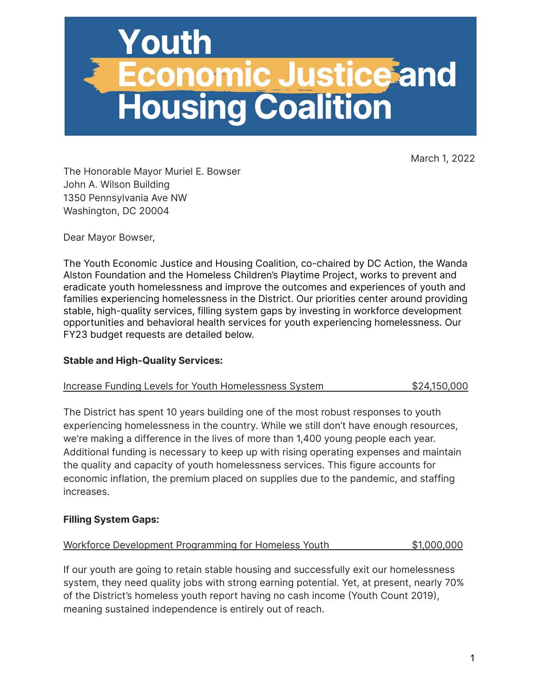

March 1, 2022

The Honorable Mayor Muriel E. Bowser John A. Wilson Building 1350 Pennsylvania Ave NW Washington, DC 20004

Dear Mayor Bowser,

The Youth Economic Justice and Housing Coalition, co-chaired by DC Action, the Wanda Alston Foundation and the Homeless Children's Playtime Project, works to prevent and eradicate youth homelessness and improve the outcomes and experiences of youth and families experiencing homelessness in the District. Our priorities center around providing stable, high-quality services, filling system gaps by investing in workforce development opportunities and behavioral health services for youth experiencing homelessness. Our FY23 budget requests are detailed below.

## **Stable and High-Quality Services:**

| Increase Funding Levels for Youth Homelessness System | \$24,150,000 |
|-------------------------------------------------------|--------------|
|-------------------------------------------------------|--------------|

The District has spent 10 years building one of the most robust responses to youth experiencing homelessness in the country. While we still don't have enough resources, we're making a difference in the lives of more than 1,400 young people each year. Additional funding is necessary to keep up with rising operating expenses and maintain the quality and capacity of youth homelessness services. This figure accounts for economic inflation, the premium placed on supplies due to the pandemic, and staffing increases.

## **Filling System Gaps:**

|  | Workforce Development Programming for Homeless Youth | \$1,000,000 |
|--|------------------------------------------------------|-------------|
|  |                                                      |             |

If our youth are going to retain stable housing and successfully exit our homelessness system, they need quality jobs with strong earning potential. Yet, at present, nearly 70% of the District's homeless youth report having no cash income (Youth Count 2019), meaning sustained independence is entirely out of reach.